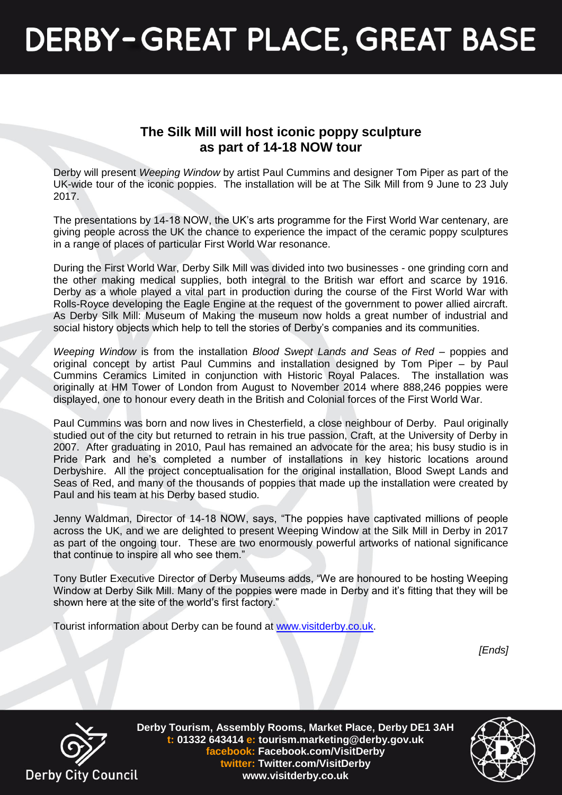## **DERBY-GREAT PLACE, GREAT BASE**

### **The Silk Mill will host iconic poppy sculpture as part of 14-18 NOW tour**

Derby will present *Weeping Window* by artist Paul Cummins and designer Tom Piper as part of the UK-wide tour of the iconic poppies. The installation will be at The Silk Mill from 9 June to 23 July 2017.

The presentations by 14-18 NOW, the UK's arts programme for the First World War centenary, are giving people across the UK the chance to experience the impact of the ceramic poppy sculptures in a range of places of particular First World War resonance.

During the First World War, Derby Silk Mill was divided into two businesses - one grinding corn and the other making medical supplies, both integral to the British war effort and scarce by 1916. Derby as a whole played a vital part in production during the course of the First World War with Rolls-Royce developing the Eagle Engine at the request of the government to power allied aircraft. As Derby Silk Mill: Museum of Making the museum now holds a great number of industrial and social history objects which help to tell the stories of Derby's companies and its communities.

*Weeping Window* is from the installation *Blood Swept Lands and Seas of Red* – poppies and original concept by artist Paul Cummins and installation designed by Tom Piper – by Paul Cummins Ceramics Limited in conjunction with Historic Royal Palaces. The installation was originally at HM Tower of London from August to November 2014 where 888,246 poppies were displayed, one to honour every death in the British and Colonial forces of the First World War.

Paul Cummins was born and now lives in Chesterfield, a close neighbour of Derby. Paul originally studied out of the city but returned to retrain in his true passion, Craft, at the University of Derby in 2007. After graduating in 2010, Paul has remained an advocate for the area; his busy studio is in Pride Park and he's completed a number of installations in key historic locations around Derbyshire. All the project conceptualisation for the original installation, Blood Swept Lands and Seas of Red, and many of the thousands of poppies that made up the installation were created by Paul and his team at his Derby based studio.

Jenny Waldman, Director of 14-18 NOW, says, "The poppies have captivated millions of people across the UK, and we are delighted to present Weeping Window at the Silk Mill in Derby in 2017 as part of the ongoing tour. These are two enormously powerful artworks of national significance that continue to inspire all who see them."

Tony Butler Executive Director of Derby Museums adds, "We are honoured to be hosting Weeping Window at Derby Silk Mill. Many of the poppies were made in Derby and it's fitting that they will be shown here at the site of the world's first factory."

Tourist information about Derby can be found at [www.visitderby.co.uk.](http://www.visitderby.co.uk/)

*[Ends]*



**Derby Tourism, Assembly Rooms, Market Place, Derby DE1 3AH t: 01332 643414 e: tourism.marketing@derby.gov.uk facebook: Facebook.com/VisitDerby twitter: Twitter.com/VisitDerby www.visitderby.co.uk**